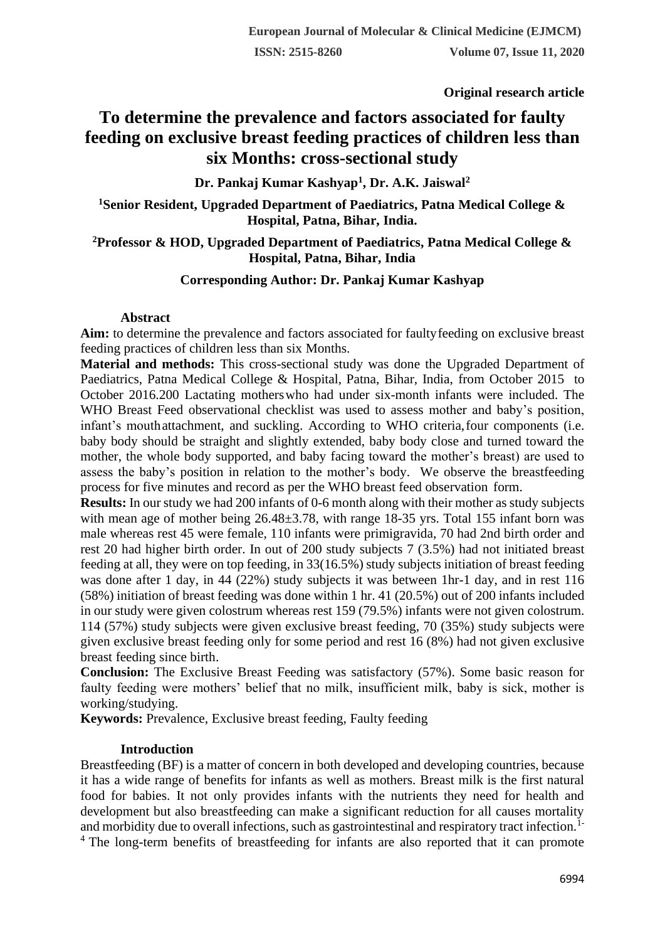**Original research article** 

# **To determine the prevalence and factors associated for faulty feeding on exclusive breast feeding practices of children less than six Months: cross-sectional study**

# **Dr. Pankaj Kumar Kashyap<sup>1</sup> , Dr. A.K. Jaiswal<sup>2</sup>**

**<sup>1</sup>Senior Resident, Upgraded Department of Paediatrics, Patna Medical College & Hospital, Patna, Bihar, India.**

## **<sup>2</sup>Professor & HOD, Upgraded Department of Paediatrics, Patna Medical College & Hospital, Patna, Bihar, India**

## **Corresponding Author: Dr. Pankaj Kumar Kashyap**

## **Abstract**

**Aim:** to determine the prevalence and factors associated for faultyfeeding on exclusive breast feeding practices of children less than six Months.

**Material and methods:** This cross-sectional study was done the Upgraded Department of Paediatrics, Patna Medical College & Hospital, Patna, Bihar, India, from October 2015 to October 2016.200 Lactating motherswho had under six-month infants were included. The WHO Breast Feed observational checklist was used to assess mother and baby's position, infant's mouthattachment, and suckling. According to WHO criteria,four components (i.e. baby body should be straight and slightly extended, baby body close and turned toward the mother, the whole body supported, and baby facing toward the mother's breast) are used to assess the baby's position in relation to the mother's body. We observe the breastfeeding process for five minutes and record as per the WHO breast feed observation form.

**Results:** In our study we had 200 infants of 0-6 month along with their mother as study subjects with mean age of mother being  $26.48\pm3.78$ , with range 18-35 yrs. Total 155 infant born was male whereas rest 45 were female, 110 infants were primigravida, 70 had 2nd birth order and rest 20 had higher birth order. In out of 200 study subjects 7 (3.5%) had not initiated breast feeding at all, they were on top feeding, in 33(16.5%) study subjects initiation of breast feeding was done after 1 day, in 44 (22%) study subjects it was between 1hr-1 day, and in rest 116 (58%) initiation of breast feeding was done within 1 hr. 41 (20.5%) out of 200 infants included in our study were given colostrum whereas rest 159 (79.5%) infants were not given colostrum. 114 (57%) study subjects were given exclusive breast feeding, 70 (35%) study subjects were given exclusive breast feeding only for some period and rest 16 (8%) had not given exclusive breast feeding since birth.

**Conclusion:** The Exclusive Breast Feeding was satisfactory (57%). Some basic reason for faulty feeding were mothers' belief that no milk, insufficient milk, baby is sick, mother is working/studying.

**Keywords:** Prevalence, Exclusive breast feeding, Faulty feeding

## **Introduction**

Breastfeeding (BF) is a matter of concern in both developed and developing countries, because it has a wide range of benefits for infants as well as mothers. Breast milk is the first natural food for babies. It not only provides infants with the nutrients they need for health and development but also breastfeeding can make a significant reduction for all causes mortality and morbidity due to overall infections, such as gastrointestinal and respiratory tract infection.1-

<sup>4</sup> The long-term benefits of breastfeeding for infants are also reported that it can promote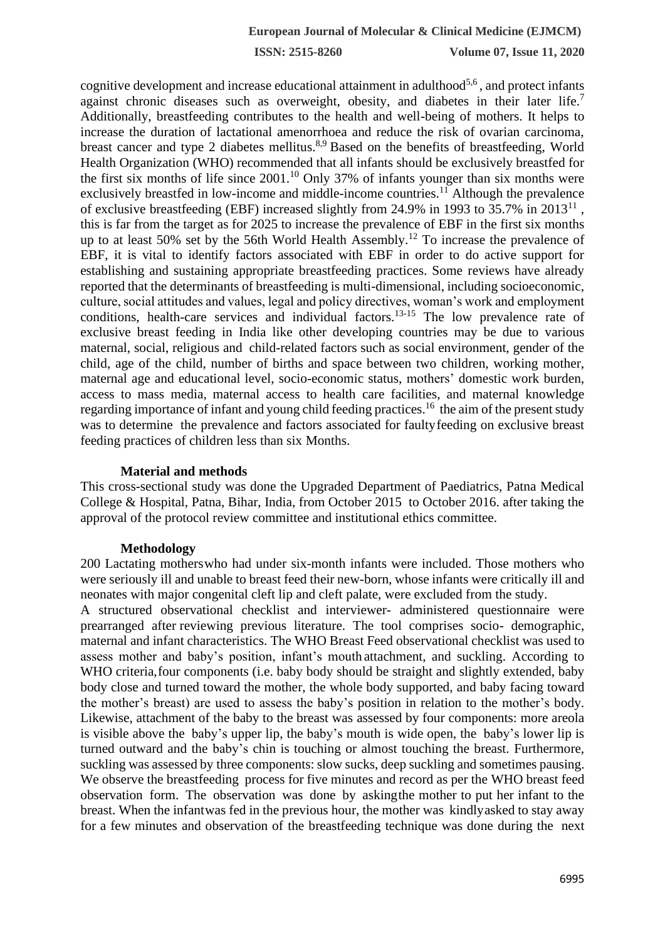**ISSN: 2515-8260 Volume 07, Issue 11, 2020**

cognitive development and increase educational attainment in adulthood<sup>5,6</sup>, and protect infants against chronic diseases such as overweight, obesity, and diabetes in their later life.<sup>7</sup> Additionally, breastfeeding contributes to the health and well-being of mothers. It helps to increase the duration of lactational amenorrhoea and reduce the risk of ovarian carcinoma, breast cancer and type 2 diabetes mellitus.<sup>8,9</sup> Based on the benefits of breastfeeding, World Health Organization (WHO) recommended that all infants should be exclusively breastfed for the first six months of life since  $2001$ .<sup>10</sup> Only 37% of infants younger than six months were exclusively breastfed in low-income and middle-income countries.<sup>11</sup> Although the prevalence of exclusive breastfeeding (EBF) increased slightly from 24.9% in 1993 to 35.7% in  $2013<sup>11</sup>$ , this is far from the target as for 2025 to increase the prevalence of EBF in the first six months up to at least 50% set by the 56th World Health Assembly.<sup>12</sup> To increase the prevalence of EBF, it is vital to identify factors associated with EBF in order to do active support for establishing and sustaining appropriate breastfeeding practices. Some reviews have already reported that the determinants of breastfeeding is multi-dimensional, including socioeconomic, culture, social attitudes and values, legal and policy directives, woman's work and employment conditions, health-care services and individual factors.<sup>13-15</sup> The low prevalence rate of exclusive breast feeding in India like other developing countries may be due to various maternal, social, religious and child-related factors such as social environment, gender of the child, age of the child, number of births and space between two children, working mother, maternal age and educational level, socio-economic status, mothers' domestic work burden, access to mass media, maternal access to health care facilities, and maternal knowledge regarding importance of infant and young child feeding practices.<sup>16</sup> the aim of the present study was to determine the prevalence and factors associated for faultyfeeding on exclusive breast feeding practices of children less than six Months.

#### **Material and methods**

This cross-sectional study was done the Upgraded Department of Paediatrics, Patna Medical College & Hospital, Patna, Bihar, India, from October 2015 to October 2016. after taking the approval of the protocol review committee and institutional ethics committee.

#### **Methodology**

200 Lactating motherswho had under six-month infants were included. Those mothers who were seriously ill and unable to breast feed their new-born, whose infants were critically ill and neonates with major congenital cleft lip and cleft palate, were excluded from the study.

A structured observational checklist and interviewer- administered questionnaire were prearranged after reviewing previous literature. The tool comprises socio- demographic, maternal and infant characteristics. The WHO Breast Feed observational checklist was used to assess mother and baby's position, infant's mouth attachment, and suckling. According to WHO criteria, four components (i.e. baby body should be straight and slightly extended, baby body close and turned toward the mother, the whole body supported, and baby facing toward the mother's breast) are used to assess the baby's position in relation to the mother's body. Likewise, attachment of the baby to the breast was assessed by four components: more areola is visible above the baby's upper lip, the baby's mouth is wide open, the baby's lower lip is turned outward and the baby's chin is touching or almost touching the breast. Furthermore, suckling was assessed by three components: slow sucks, deep suckling and sometimes pausing. We observe the breastfeeding process for five minutes and record as per the WHO breast feed observation form. The observation was done by askingthe mother to put her infant to the breast. When the infantwas fed in the previous hour, the mother was kindlyasked to stay away for a few minutes and observation of the breastfeeding technique was done during the next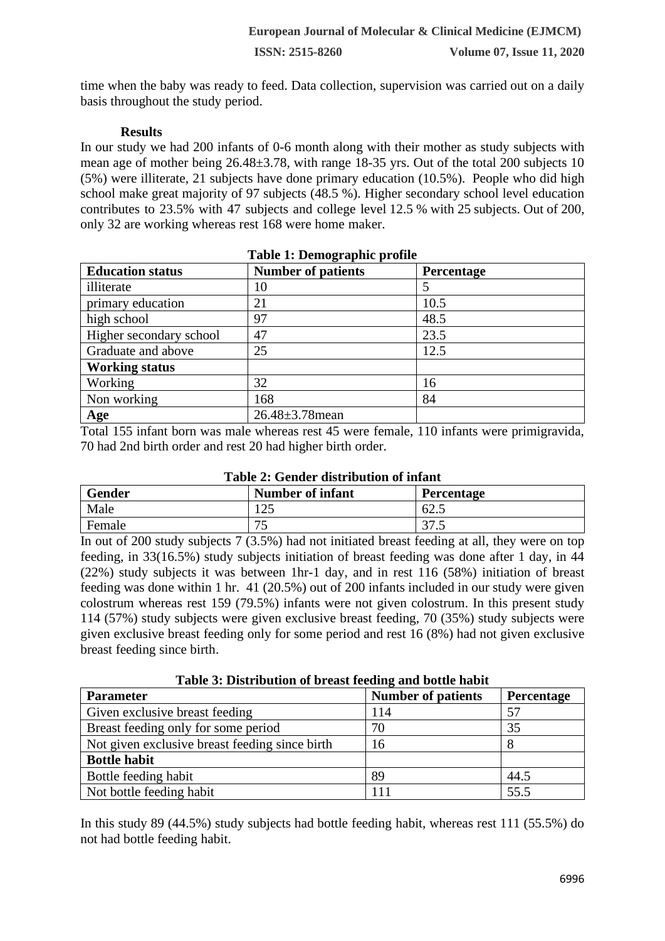time when the baby was ready to feed. Data collection, supervision was carried out on a daily basis throughout the study period.

## **Results**

In our study we had 200 infants of 0-6 month along with their mother as study subjects with mean age of mother being 26.48±3.78, with range 18-35 yrs. Out of the total 200 subjects 10 (5%) were illiterate, 21 subjects have done primary education (10.5%). People who did high school make great majority of 97 subjects (48.5 %). Higher secondary school level education contributes to 23.5% with 47 subjects and college level 12.5 % with 25 subjects. Out of 200, only 32 are working whereas rest 168 were home maker.

| Table 1: Demographic profile |                           |            |  |  |
|------------------------------|---------------------------|------------|--|--|
| <b>Education status</b>      | <b>Number of patients</b> | Percentage |  |  |
| illiterate                   | 10                        |            |  |  |
| primary education            | 21                        | 10.5       |  |  |
| high school                  | 97                        | 48.5       |  |  |
| Higher secondary school      | 47                        | 23.5       |  |  |
| Graduate and above           | 25                        | 12.5       |  |  |
| <b>Working status</b>        |                           |            |  |  |
| Working                      | 32                        | 16         |  |  |
| Non working                  | 168                       | 84         |  |  |
| Age                          | $26.48 \pm 3.78$ mean     |            |  |  |

Total 155 infant born was male whereas rest 45 were female, 110 infants were primigravida, 70 had 2nd birth order and rest 20 had higher birth order.

| Gender | <b>Number of infant</b> | Percentage      |
|--------|-------------------------|-----------------|
| Male   | $1 \cap 5$              | 62.5            |
| Female | 75<br>ີ                 | $\sim$<br>ں ، ر |

In out of 200 study subjects 7 (3.5%) had not initiated breast feeding at all, they were on top feeding, in 33(16.5%) study subjects initiation of breast feeding was done after 1 day, in 44 (22%) study subjects it was between 1hr-1 day, and in rest 116 (58%) initiation of breast feeding was done within 1 hr. 41 (20.5%) out of 200 infants included in our study were given colostrum whereas rest 159 (79.5%) infants were not given colostrum. In this present study 114 (57%) study subjects were given exclusive breast feeding, 70 (35%) study subjects were given exclusive breast feeding only for some period and rest 16 (8%) had not given exclusive breast feeding since birth.

| <b>Parameter</b>                               | <b>Number of patients</b> | <b>Percentage</b> |
|------------------------------------------------|---------------------------|-------------------|
| Given exclusive breast feeding                 | 114                       | 57                |
| Breast feeding only for some period            | 70                        | 35                |
| Not given exclusive breast feeding since birth | 16                        |                   |
| <b>Bottle habit</b>                            |                           |                   |
| Bottle feeding habit                           | 89                        | 44.5              |
| Not bottle feeding habit                       |                           | 55.5              |

In this study 89 (44.5%) study subjects had bottle feeding habit, whereas rest 111 (55.5%) do not had bottle feeding habit.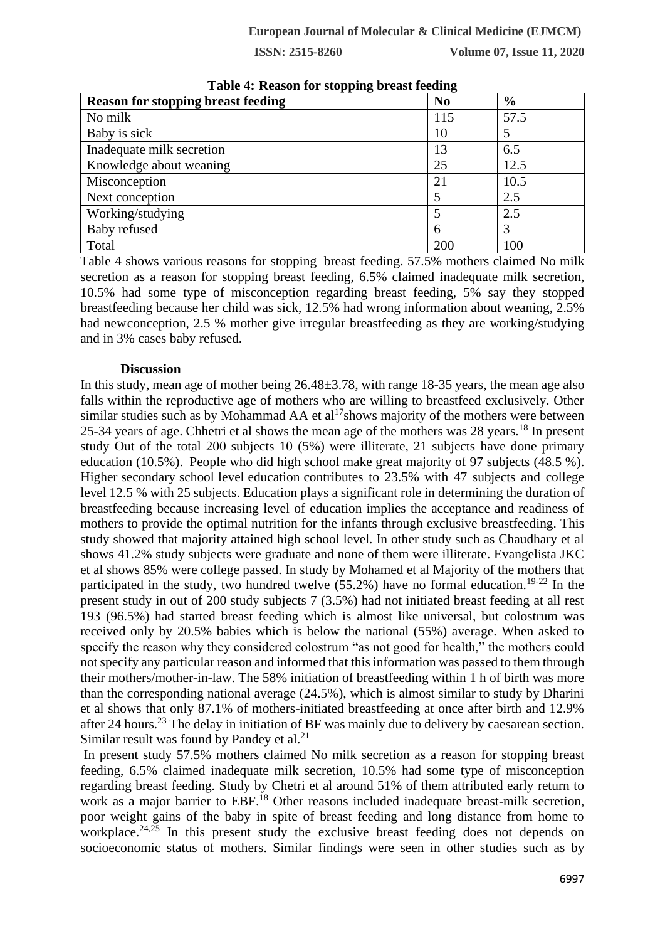**ISSN: 2515-8260 Volume 07, Issue 11, 2020**

| <b>Reason for stopping breast feeding</b> | o<br>N <sub>0</sub> | $\frac{6}{6}$ |
|-------------------------------------------|---------------------|---------------|
| No milk                                   | 115                 | 57.5          |
| Baby is sick                              | 10                  |               |
| Inadequate milk secretion                 | 13                  | 6.5           |
| Knowledge about weaning                   | 25                  | 12.5          |
| Misconception                             | 21                  | 10.5          |
| Next conception                           |                     | 2.5           |
| Working/studying                          |                     | 2.5           |
| Baby refused                              | 6                   | 3             |
| Total                                     | 200                 | 100           |

**Table 4: Reason for stopping breast feeding**

Table 4 shows various reasons for stopping breast feeding. 57.5% mothers claimed No milk secretion as a reason for stopping breast feeding, 6.5% claimed inadequate milk secretion, 10.5% had some type of misconception regarding breast feeding, 5% say they stopped breastfeeding because her child was sick, 12.5% had wrong information about weaning, 2.5% had newconception, 2.5 % mother give irregular breastfeeding as they are working/studying and in 3% cases baby refused.

#### **Discussion**

In this study, mean age of mother being 26.48±3.78, with range 18-35 years, the mean age also falls within the reproductive age of mothers who are willing to breastfeed exclusively. Other similar studies such as by Mohammad AA et al<sup>17</sup>shows majority of the mothers were between 25-34 years of age. Chhetri et al shows the mean age of the mothers was 28 years.<sup>18</sup> In present study Out of the total 200 subjects 10 (5%) were illiterate, 21 subjects have done primary education (10.5%). People who did high school make great majority of 97 subjects (48.5 %). Higher secondary school level education contributes to 23.5% with 47 subjects and college level 12.5 % with 25 subjects. Education plays a significant role in determining the duration of breastfeeding because increasing level of education implies the acceptance and readiness of mothers to provide the optimal nutrition for the infants through exclusive breastfeeding. This study showed that majority attained high school level. In other study such as Chaudhary et al shows 41.2% study subjects were graduate and none of them were illiterate. Evangelista JKC et al shows 85% were college passed. In study by Mohamed et al Majority of the mothers that participated in the study, two hundred twelve  $(55.2%)$  have no formal education.<sup>19-22</sup> In the present study in out of 200 study subjects 7 (3.5%) had not initiated breast feeding at all rest 193 (96.5%) had started breast feeding which is almost like universal, but colostrum was received only by 20.5% babies which is below the national (55%) average. When asked to specify the reason why they considered colostrum "as not good for health," the mothers could not specify any particular reason and informed that this information was passed to them through their mothers/mother-in-law. The 58% initiation of breastfeeding within 1 h of birth was more than the corresponding national average (24.5%), which is almost similar to study by Dharini et al shows that only 87.1% of mothers-initiated breastfeeding at once after birth and 12.9% after 24 hours.<sup>23</sup> The delay in initiation of BF was mainly due to delivery by caesarean section. Similar result was found by Pandey et al. $^{21}$ 

In present study 57.5% mothers claimed No milk secretion as a reason for stopping breast feeding, 6.5% claimed inadequate milk secretion, 10.5% had some type of misconception regarding breast feeding. Study by Chetri et al around 51% of them attributed early return to work as a major barrier to EBF.<sup>18</sup> Other reasons included inadequate breast-milk secretion, poor weight gains of the baby in spite of breast feeding and long distance from home to workplace.<sup>24,25</sup> In this present study the exclusive breast feeding does not depends on socioeconomic status of mothers. Similar findings were seen in other studies such as by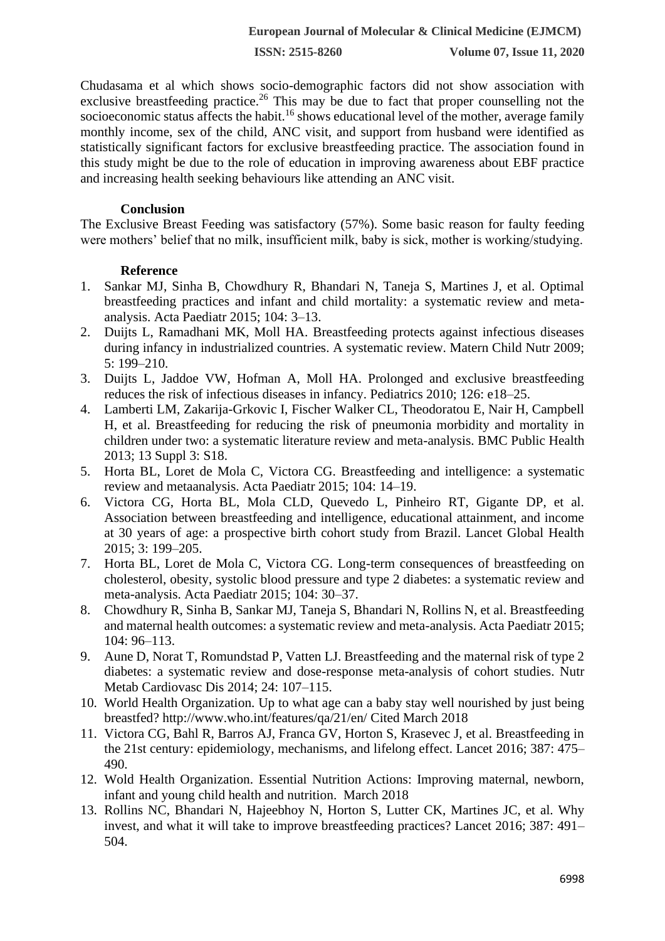**ISSN: 2515-8260 Volume 07, Issue 11, 2020**

Chudasama et al which shows socio-demographic factors did not show association with exclusive breastfeeding practice.<sup>26</sup> This may be due to fact that proper counselling not the socioeconomic status affects the habit.<sup>16</sup> shows educational level of the mother, average family monthly income, sex of the child, ANC visit, and support from husband were identified as statistically significant factors for exclusive breastfeeding practice. The association found in this study might be due to the role of education in improving awareness about EBF practice and increasing health seeking behaviours like attending an ANC visit.

## **Conclusion**

The Exclusive Breast Feeding was satisfactory (57%). Some basic reason for faulty feeding were mothers' belief that no milk, insufficient milk, baby is sick, mother is working/studying.

## **Reference**

- 1. Sankar MJ, Sinha B, Chowdhury R, Bhandari N, Taneja S, Martines J, et al. Optimal breastfeeding practices and infant and child mortality: a systematic review and metaanalysis. Acta Paediatr 2015; 104: 3–13.
- 2. Duijts L, Ramadhani MK, Moll HA. Breastfeeding protects against infectious diseases during infancy in industrialized countries. A systematic review. Matern Child Nutr 2009; 5: 199–210.
- 3. Duijts L, Jaddoe VW, Hofman A, Moll HA. Prolonged and exclusive breastfeeding reduces the risk of infectious diseases in infancy. Pediatrics 2010; 126: e18–25.
- 4. Lamberti LM, Zakarija-Grkovic I, Fischer Walker CL, Theodoratou E, Nair H, Campbell H, et al. Breastfeeding for reducing the risk of pneumonia morbidity and mortality in children under two: a systematic literature review and meta-analysis. BMC Public Health 2013; 13 Suppl 3: S18.
- 5. Horta BL, Loret de Mola C, Victora CG. Breastfeeding and intelligence: a systematic review and metaanalysis. Acta Paediatr 2015; 104: 14–19.
- 6. Victora CG, Horta BL, Mola CLD, Quevedo L, Pinheiro RT, Gigante DP, et al. Association between breastfeeding and intelligence, educational attainment, and income at 30 years of age: a prospective birth cohort study from Brazil. Lancet Global Health 2015; 3: 199–205.
- 7. Horta BL, Loret de Mola C, Victora CG. Long-term consequences of breastfeeding on cholesterol, obesity, systolic blood pressure and type 2 diabetes: a systematic review and meta-analysis. Acta Paediatr 2015; 104: 30–37.
- 8. Chowdhury R, Sinha B, Sankar MJ, Taneja S, Bhandari N, Rollins N, et al. Breastfeeding and maternal health outcomes: a systematic review and meta-analysis. Acta Paediatr 2015; 104: 96–113.
- 9. Aune D, Norat T, Romundstad P, Vatten LJ. Breastfeeding and the maternal risk of type 2 diabetes: a systematic review and dose-response meta-analysis of cohort studies. Nutr Metab Cardiovasc Dis 2014; 24: 107–115.
- 10. World Health Organization. Up to what age can a baby stay well nourished by just being breastfed? http://www.who.int/features/qa/21/en/ Cited March 2018
- 11. Victora CG, Bahl R, Barros AJ, Franca GV, Horton S, Krasevec J, et al. Breastfeeding in the 21st century: epidemiology, mechanisms, and lifelong effect. Lancet 2016; 387: 475– 490.
- 12. Wold Health Organization. Essential Nutrition Actions: Improving maternal, newborn, infant and young child health and nutrition. March 2018
- 13. Rollins NC, Bhandari N, Hajeebhoy N, Horton S, Lutter CK, Martines JC, et al. Why invest, and what it will take to improve breastfeeding practices? Lancet 2016; 387: 491– 504.